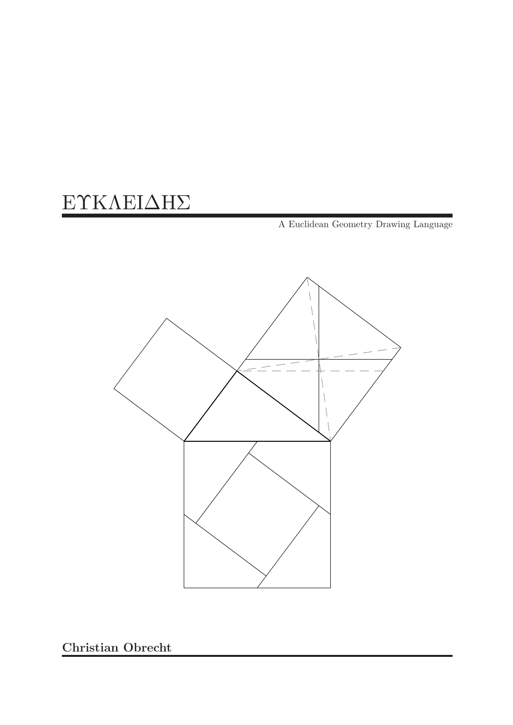# EϒKΛEIΔHΣ

A Euclidean Geometry Drawing Language



Christian Obrecht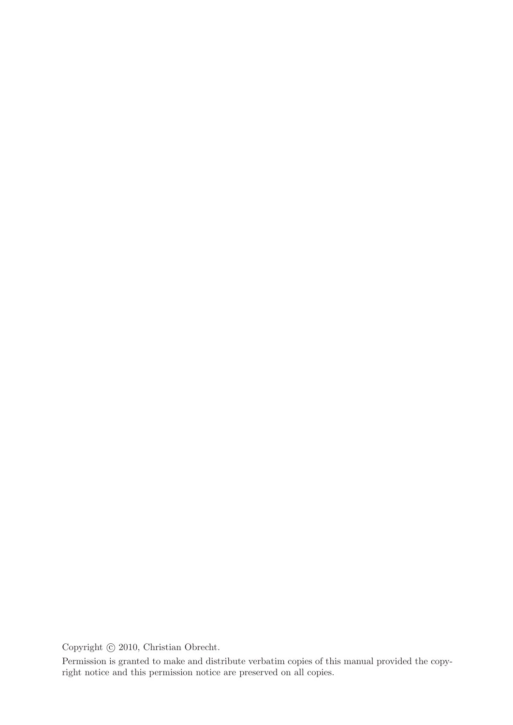Copyright  $\odot$  2010, Christian Obrecht.

Permission is granted to make and distribute verbatim copies of this manual provided the copyright notice and this permission notice are preserved on all copies.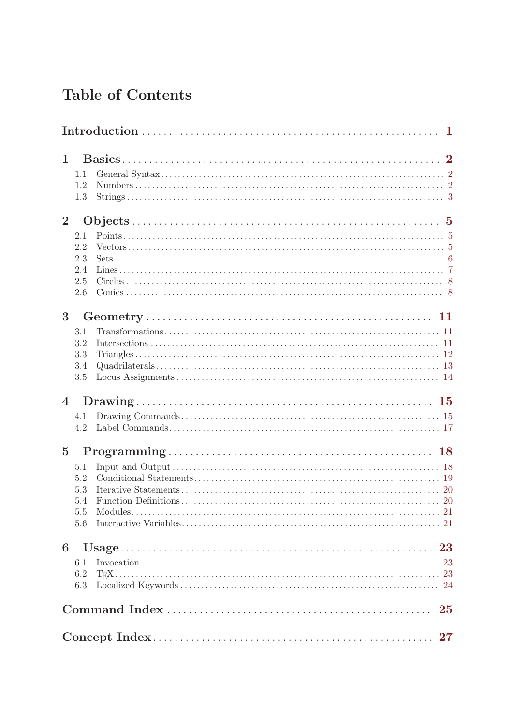# Table of Contents

| $\mathbf{1}$   | 1.1<br>1.2<br>1.3                          |    |
|----------------|--------------------------------------------|----|
| $\overline{2}$ | 2.1<br>2.2<br>2.3<br>2.4<br>2.5<br>2.6     |    |
| 3              | 3.1<br>3.2<br>3.3<br>3.4<br>3.5            |    |
| $\overline{4}$ | 4.1<br>4.2                                 |    |
| $\overline{5}$ | 5.1<br>5.2<br>5.3<br>5.4<br>$5.5\,$<br>5.6 |    |
| 6              | 6.1<br>6.2<br>6.3                          |    |
|                |                                            | 25 |
|                |                                            |    |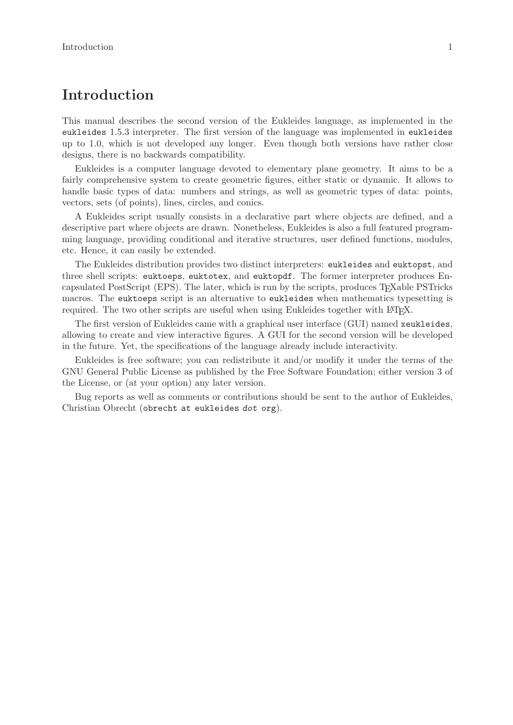## <span id="page-4-0"></span>Introduction

This manual describes the second version of the Eukleides language, as implemented in the eukleides 1.5.3 interpreter. The first version of the language was implemented in eukleides up to 1.0, which is not developed any longer. Even though both versions have rather close designs, there is no backwards compatibility.

Eukleides is a computer language devoted to elementary plane geometry. It aims to be a fairly comprehensive system to create geometric figures, either static or dynamic. It allows to handle basic types of data: numbers and strings, as well as geometric types of data: points, vectors, sets (of points), lines, circles, and conics.

A Eukleides script usually consists in a declarative part where objects are defined, and a descriptive part where objects are drawn. Nonetheless, Eukleides is also a full featured programming language, providing conditional and iterative structures, user defined functions, modules, etc. Hence, it can easily be extended.

The Eukleides distribution provides two distinct interpreters: eukleides and euktopst, and three shell scripts: euktoeps, euktotex, and euktopdf. The former interpreter produces Encapsulated PostScript (EPS). The later, which is run by the scripts, produces TEXable PSTricks macros. The euktoeps script is an alternative to eukleides when mathematics typesetting is required. The two other scripts are useful when using Eukleides together with LATEX.

The first version of Eukleides came with a graphical user interface (GUI) named xeukleides, allowing to create and view interactive figures. A GUI for the second version will be developed in the future. Yet, the specifications of the language already include interactivity.

Eukleides is free software; you can redistribute it and/or modify it under the terms of the GNU General Public License as published by the Free Software Foundation; either version 3 of the License, or (at your option) any later version.

Bug reports as well as comments or contributions should be sent to the author of Eukleides, Christian Obrecht (obrecht at eukleides dot org).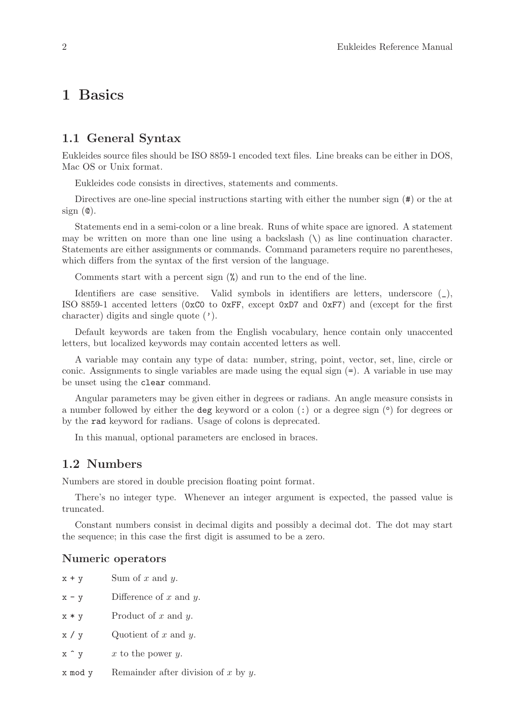## <span id="page-5-0"></span>1 Basics

## 1.1 General Syntax

Eukleides source files should be ISO 8859-1 encoded text files. Line breaks can be either in DOS, Mac OS or Unix format.

Eukleides code consists in directives, statements and comments.

Directives are one-line special instructions starting with either the number sign  $(\#)$  or the at  $sign(0)$ .

Statements end in a semi-colon or a line break. Runs of white space are ignored. A statement may be written on more than one line using a backslash  $(\lambda)$  as line continuation character. Statements are either assignments or commands. Command parameters require no parentheses, which differs from the syntax of the first version of the language.

Comments start with a percent sign (%) and run to the end of the line.

Identifiers are case sensitive. Valid symbols in identifiers are letters, underscore (\_), ISO 8859-1 accented letters (0xC0 to 0xFF, except 0xD7 and 0xF7) and (except for the first character) digits and single quote (').

Default keywords are taken from the English vocabulary, hence contain only unaccented letters, but localized keywords may contain accented letters as well.

A variable may contain any type of data: number, string, point, vector, set, line, circle or conic. Assignments to single variables are made using the equal sign  $(=)$ . A variable in use may be unset using the clear command.

Angular parameters may be given either in degrees or radians. An angle measure consists in a number followed by either the deg keyword or a colon  $(:)$  or a degree sign  $(°)$  for degrees or by the rad keyword for radians. Usage of colons is deprecated.

In this manual, optional parameters are enclosed in braces.

### 1.2 Numbers

Numbers are stored in double precision floating point format.

There's no integer type. Whenever an integer argument is expected, the passed value is truncated.

Constant numbers consist in decimal digits and possibly a decimal dot. The dot may start the sequence; in this case the first digit is assumed to be a zero.

#### Numeric operators

| $x + y$ | Sum of $x$ and $y$ .        |
|---------|-----------------------------|
| $x - y$ | Difference of $x$ and $y$ . |
| $x * y$ | Product of $x$ and $y$ .    |
| х / у   | Quotient of $x$ and $y$ .   |

- $x \uparrow y$  x to the power y.
- $x \mod y$  Remainder after division of x by y.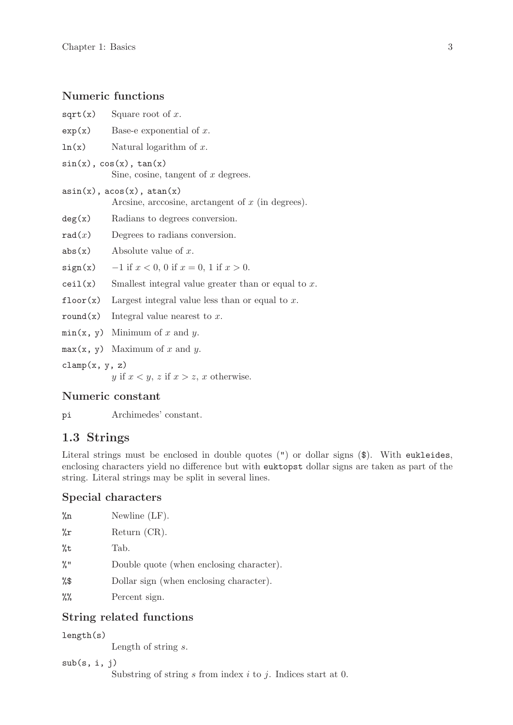## <span id="page-6-0"></span>Numeric functions

| sqrt(x)                                                                                  | Square root of $x$ .                                                    |  |  |
|------------------------------------------------------------------------------------------|-------------------------------------------------------------------------|--|--|
| exp(x)                                                                                   | Base-e exponential of $x$ .                                             |  |  |
| ln(x)                                                                                    | Natural logarithm of $x$ .                                              |  |  |
|                                                                                          | $sin(x)$ , $cos(x)$ , $tan(x)$<br>Sine, cosine, tangent of $x$ degrees. |  |  |
| $asin(x)$ , $acos(x)$ , $atan(x)$<br>Arcsine, arccosine, arctangent of $x$ (in degrees). |                                                                         |  |  |
| deg(x)                                                                                   | Radians to degrees conversion.                                          |  |  |
| rad(x)                                                                                   | Degrees to radians conversion.                                          |  |  |
| abs(x)                                                                                   | Absolute value of $x$ .                                                 |  |  |
| sign(x)                                                                                  | $-1$ if $x < 0$ , 0 if $x = 0$ , 1 if $x > 0$ .                         |  |  |
| ceil(x)                                                                                  | Smallest integral value greater than or equal to $x$ .                  |  |  |
| floor(x)                                                                                 | Largest integral value less than or equal to $x$ .                      |  |  |
| round(x)                                                                                 | Integral value nearest to $x$ .                                         |  |  |
|                                                                                          | $min(x, y)$ Minimum of x and y.                                         |  |  |
|                                                                                          | $max(x, y)$ Maximum of x and y.                                         |  |  |
|                                                                                          |                                                                         |  |  |

 $clamp(x, y, z)$ 

y if  $x < y$ , z if  $x > z$ , x otherwise.

### Numeric constant

pi Archimedes' constant.

## 1.3 Strings

Literal strings must be enclosed in double quotes (") or dollar signs (\$). With eukleides, enclosing characters yield no difference but with euktopst dollar signs are taken as part of the string. Literal strings may be split in several lines.

## Special characters

| $\%$ n             | Newline $(LF)$ .                         |
|--------------------|------------------------------------------|
| $\gamma_{\circ}$ r | Return $(CR)$ .                          |
| $\%t$              | Tab.                                     |
| $\frac{9}{6}$ !!   | Double quote (when enclosing character). |
| %\$                | Dollar sign (when enclosing character).  |
| $\%$               | Percent sign.                            |
|                    |                                          |

## String related functions

length(s)

Length of string s.

```
sub(s, i, j)
```
Substring of string  $s$  from index  $i$  to  $j$ . Indices start at 0.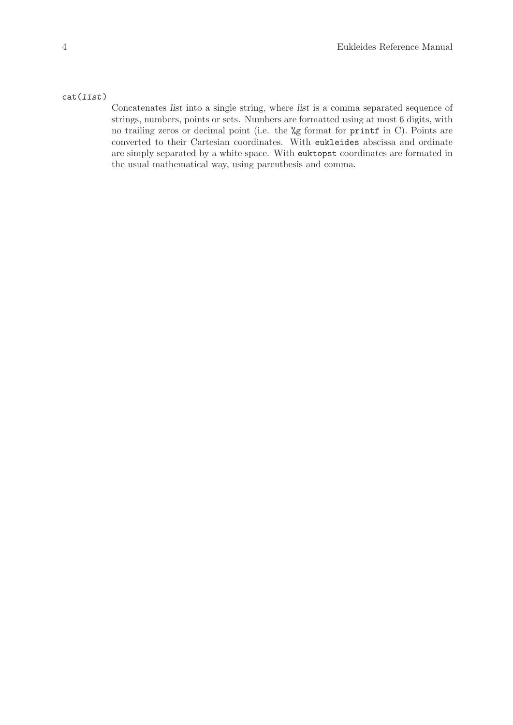#### cat(list)

Concatenates list into a single string, where list is a comma separated sequence of strings, numbers, points or sets. Numbers are formatted using at most 6 digits, with no trailing zeros or decimal point (i.e. the %g format for printf in C). Points are converted to their Cartesian coordinates. With eukleides abscissa and ordinate are simply separated by a white space. With euktopst coordinates are formated in the usual mathematical way, using parenthesis and comma.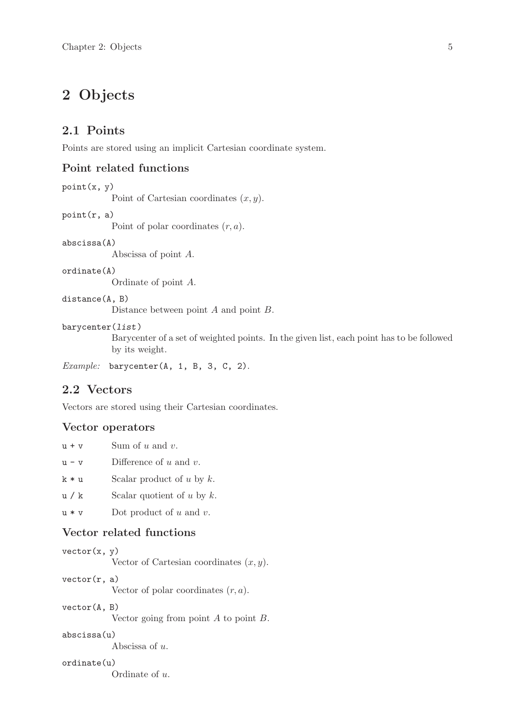## <span id="page-8-0"></span>2 Objects

## 2.1 Points

Points are stored using an implicit Cartesian coordinate system.

## Point related functions

```
point(x, y)
```
Point of Cartesian coordinates  $(x, y)$ .

#### point(r, a)

Point of polar coordinates  $(r, a)$ .

#### abscissa(A)

Abscissa of point A.

#### ordinate(A)

Ordinate of point A.

#### distance(A, B)

Distance between point A and point B.

#### barycenter(list)

Barycenter of a set of weighted points. In the given list, each point has to be followed by its weight.

Example: barycenter(A, 1, B, 3, C, 2).

### 2.2 Vectors

Vectors are stored using their Cartesian coordinates.

#### Vector operators

| $11 + V$ | Sum of $u$ and $v$ .        |
|----------|-----------------------------|
| $11 - V$ | Difference of $u$ and $v$ . |

- 
- $k * u$  Scalar product of u by k.
- $u / k$  Scalar quotient of u by k.
- $u * v$  Dot product of u and v.

### Vector related functions

```
vector(x, y)
```
Vector of Cartesian coordinates  $(x, y)$ .

 $vector(r, a)$ 

Vector of polar coordinates  $(r, a)$ .

### vector(A, B)

Vector going from point A to point B.

#### abscissa(u)

Abscissa of u.

### ordinate(u)

Ordinate of u.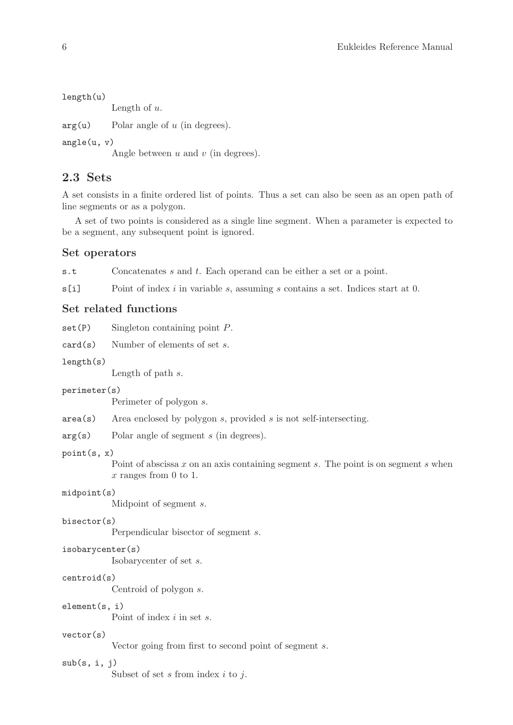```
length(u)
```
Length of  $u$ .

 $arg(u)$  Polar angle of u (in degrees).

angle(u, v)

Angle between  $u$  and  $v$  (in degrees).

## 2.3 Sets

A set consists in a finite ordered list of points. Thus a set can also be seen as an open path of line segments or as a polygon.

A set of two points is considered as a single line segment. When a parameter is expected to be a segment, any subsequent point is ignored.

#### Set operators

s.t Concatenates s and t. Each operand can be either a set or a point.

s[i] Point of index i in variable s, assuming s contains a set. Indices start at 0.

### Set related functions

 $set(P)$  Singleton containing point  $P$ .

card(s) Number of elements of set s.

#### length(s)

Length of path s.

#### perimeter(s)

Perimeter of polygon s.

- $area(s)$  Area enclosed by polygon s, provided s is not self-intersecting.
- arg(s) Polar angle of segment s (in degrees).

### point(s, x)

Point of abscissa  $x$  on an axis containing segment  $s$ . The point is on segment  $s$  when x ranges from 0 to 1.

#### midpoint(s)

Midpoint of segment s.

#### bisector(s)

Perpendicular bisector of segment s.

#### isobarycenter(s)

Isobarycenter of set s.

### centroid(s)

Centroid of polygon s.

### element(s, i)

Point of index *i* in set *s*.

#### vector(s)

Vector going from first to second point of segment s.

#### $sub(s, i, j)$

Subset of set  $s$  from index  $i$  to  $j$ .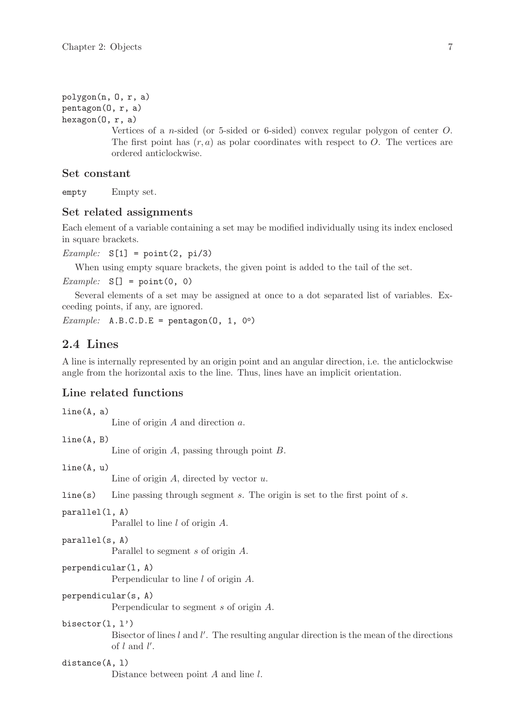```
polygon(n, O, r, a)
pentagon(O, r, a)
hexagon(O, r, a)
```
Vertices of a n-sided (or 5-sided or 6-sided) convex regular polygon of center O. The first point has  $(r, a)$  as polar coordinates with respect to O. The vertices are ordered anticlockwise.

#### Set constant

empty Empty set.

### Set related assignments

Each element of a variable containing a set may be modified individually using its index enclosed in square brackets.

```
Example: S[1] = point(2, pi/3)
```
When using empty square brackets, the given point is added to the tail of the set.

```
Example: S[1 = point(0, 0)]
```
Several elements of a set may be assigned at once to a dot separated list of variables. Exceeding points, if any, are ignored.

```
Example: A.B.C.D.E = pentagon(0, 1, 0°)
```
## 2.4 Lines

A line is internally represented by an origin point and an angular direction, i.e. the anticlockwise angle from the horizontal axis to the line. Thus, lines have an implicit orientation.

## Line related functions

```
line(A, a)
```
Line of origin A and direction a.

line(A, B)

Line of origin A, passing through point B.

line(A, u)

Line of origin  $A$ , directed by vector  $u$ .

 $line(s)$  Line passing through segment s. The origin is set to the first point of s.

#### parallel(l, A)

Parallel to line l of origin A.

```
parallel(s, A)
```
Parallel to segment s of origin A.

perpendicular(l, A)

Perpendicular to line l of origin A.

perpendicular(s, A)

Perpendicular to segment s of origin A.

#### bisector(l, l')

Bisector of lines  $l$  and  $l'$ . The resulting angular direction is the mean of the directions of  $l$  and  $l'$ .

#### distance(A, 1)

Distance between point A and line l.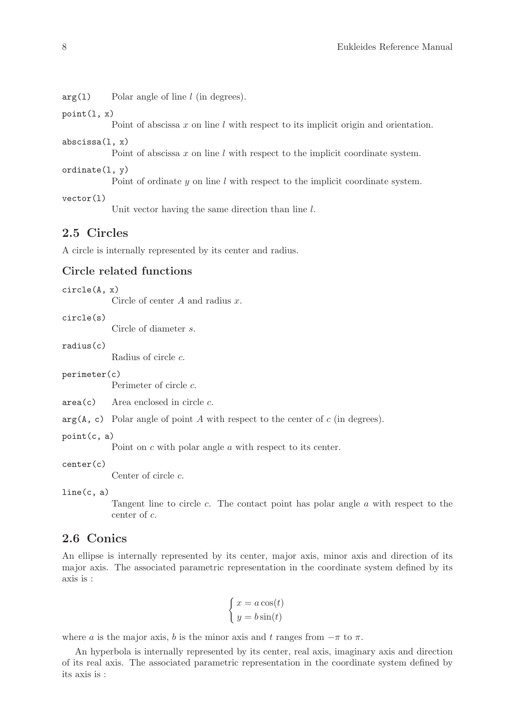<span id="page-11-0"></span> $arg(1)$  Polar angle of line l (in degrees).

 $point(1, x)$ 

Point of abscissa x on line l with respect to its implicit origin and orientation.

abscissa(l, x)

Point of abscissa x on line l with respect to the implicit coordinate system.

ordinate(l, y)

Point of ordinate y on line l with respect to the implicit coordinate system.

vector(l)

Unit vector having the same direction than line l.

## 2.5 Circles

A circle is internally represented by its center and radius.

## Circle related functions

circle(A, x)

Circle of center A and radius x.

circle(s)

Circle of diameter s.

radius(c)

Radius of circle c.

perimeter(c)

Perimeter of circle c.

 $area(c)$  Area enclosed in circle c.

 $arg(A, c)$  Polar angle of point A with respect to the center of c (in degrees).

point(c, a)

Point on  $c$  with polar angle  $a$  with respect to its center.

center(c)

Center of circle c.

```
line(c, a)
```
Tangent line to circle  $c$ . The contact point has polar angle  $a$  with respect to the center of c.

## 2.6 Conics

An ellipse is internally represented by its center, major axis, minor axis and direction of its major axis. The associated parametric representation in the coordinate system defined by its axis is :

$$
\begin{cases}\nx = a\cos(t) \\
y = b\sin(t)\n\end{cases}
$$

where a is the major axis, b is the minor axis and t ranges from  $-\pi$  to  $\pi$ .

An hyperbola is internally represented by its center, real axis, imaginary axis and direction of its real axis. The associated parametric representation in the coordinate system defined by its axis is :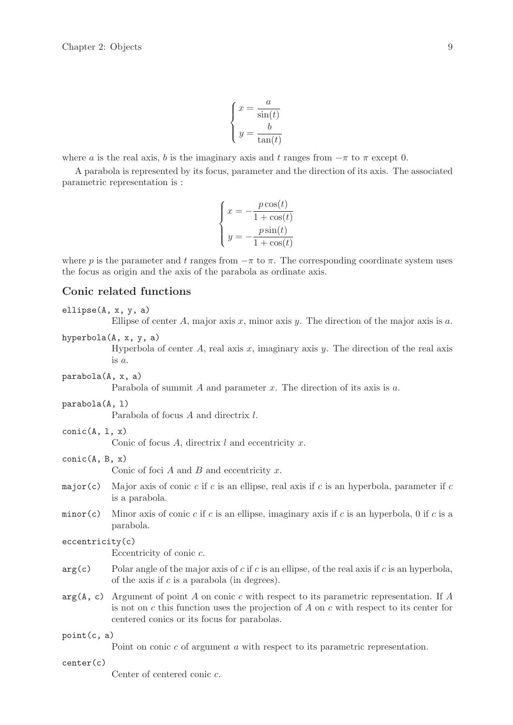$$
\begin{cases}\n x = \frac{a}{\sin(t)} \\
 y = \frac{b}{\tan(t)}\n\end{cases}
$$

<span id="page-12-0"></span>where a is the real axis, b is the imaginary axis and t ranges from  $-\pi$  to  $\pi$  except 0.

A parabola is represented by its focus, parameter and the direction of its axis. The associated parametric representation is :

$$
\begin{cases}\nx = -\frac{p\cos(t)}{1 + \cos(t)} \\
y = -\frac{p\sin(t)}{1 + \cos(t)}\n\end{cases}
$$

where p is the parameter and t ranges from  $-\pi$  to  $\pi$ . The corresponding coordinate system uses the focus as origin and the axis of the parabola as ordinate axis.

## Conic related functions

#### ellipse(A, x, y, a)

Ellipse of center A, major axis x, minor axis y. The direction of the major axis is  $a$ .

hyperbola(A, x, y, a)

Hyperbola of center  $A$ , real axis  $x$ , imaginary axis  $y$ . The direction of the real axis is  $\alpha$ .

parabola(A, x, a)

Parabola of summit A and parameter x. The direction of its axis is a.

parabola(A, l)

Parabola of focus A and directrix l.

 $conic(A, 1, x)$ 

Conic of focus  $A$ , directrix  $l$  and eccentricity  $x$ .

 $conic(A, B, x)$ 

Conic of foci  $A$  and  $B$  and eccentricity  $x$ .

- major(c) Major axis of conic c if c is an ellipse, real axis if c is an hyperbola, parameter if c is a parabola.
- minor(c) Minor axis of conic c if c is an ellipse, imaginary axis if c is an hyperbola, 0 if c is a parabola.

### eccentricity(c)

Eccentricity of conic c.

- $arg(c)$  Polar angle of the major axis of c if c is an ellipse, of the real axis if c is an hyperbola, of the axis if  $c$  is a parabola (in degrees).
- $arg(A, c)$  Argument of point A on conic c with respect to its parametric representation. If A is not on  $c$  this function uses the projection of  $A$  on  $c$  with respect to its center for centered conics or its focus for parabolas.

#### point(c, a)

Point on conic c of argument a with respect to its parametric representation.

center(c)

Center of centered conic c.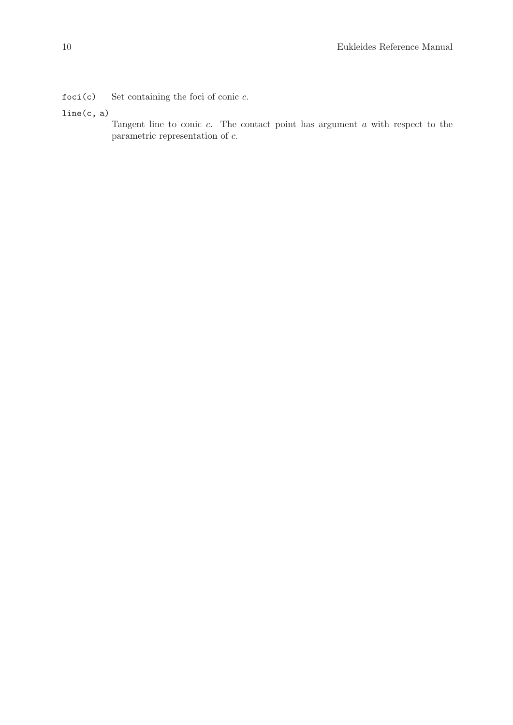foci(c) Set containing the foci of conic  $c$ .

### line(c, a)

Tangent line to conic c. The contact point has argument a with respect to the parametric representation of c.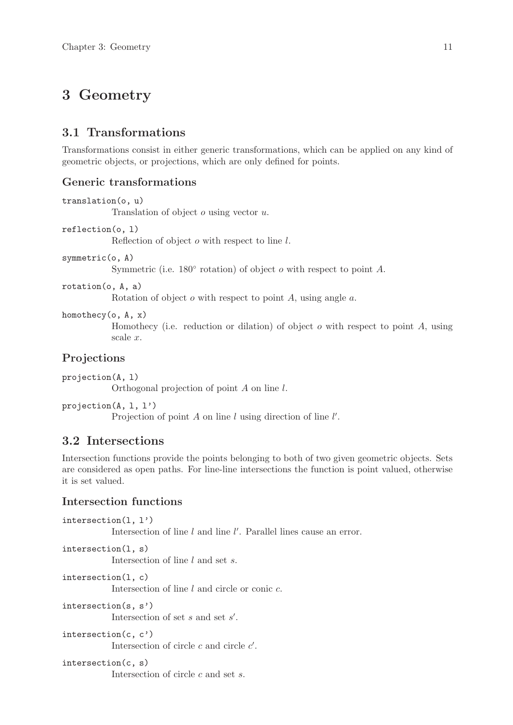## <span id="page-14-0"></span>3 Geometry

## 3.1 Transformations

Transformations consist in either generic transformations, which can be applied on any kind of geometric objects, or projections, which are only defined for points.

## Generic transformations

```
translation(o, u)
```
Translation of object o using vector u.

```
reflection(o, l)
```
Reflection of object o with respect to line l.

symmetric(o, A)

Symmetric (i.e.  $180^\circ$  rotation) of object  $o$  with respect to point A.

rotation(o, A, a)

Rotation of object  $o$  with respect to point  $A$ , using angle  $a$ .

homothecy(o, A, x)

Homothecy (i.e. reduction or dilation) of object  $o$  with respect to point  $A$ , using scale x.

## Projections

projection(A, l) Orthogonal projection of point A on line l.

projection(A, l, l')

Projection of point  $A$  on line  $l$  using direction of line  $l'$ .

## 3.2 Intersections

Intersection functions provide the points belonging to both of two given geometric objects. Sets are considered as open paths. For line-line intersections the function is point valued, otherwise it is set valued.

## Intersection functions

```
intersection(l, l')
            Intersection of line l and line l'. Parallel lines cause an error.
intersection(l, s)
            Intersection of line l and set s.
intersection(l, c)
            Intersection of line l and circle or conic c.
intersection(s, s')
            Intersection of set s and set s'.
```

```
intersection(c, c')
            Intersection of circle c and circle c'.
```
intersection(c, s) Intersection of circle c and set s.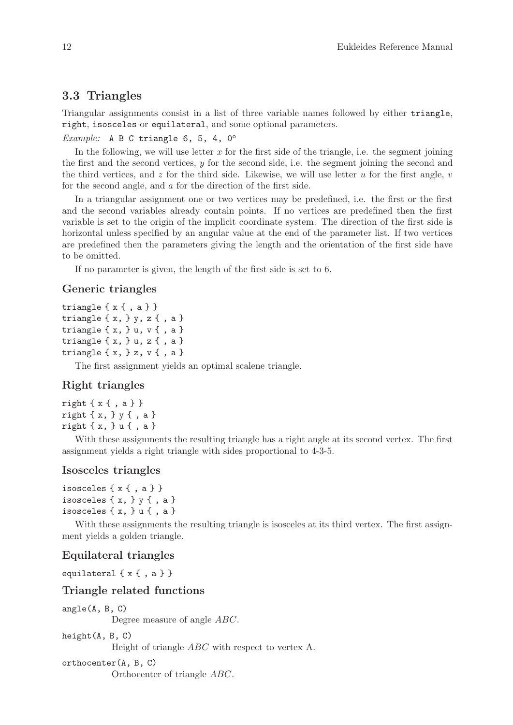## <span id="page-15-0"></span>3.3 Triangles

Triangular assignments consist in a list of three variable names followed by either triangle, right, isosceles or equilateral, and some optional parameters.

```
Example: A B C triangle 6, 5, 4, 0^\circ
```
In the following, we will use letter x for the first side of the triangle, i.e. the segment joining the first and the second vertices, y for the second side, i.e. the segment joining the second and the third vertices, and z for the third side. Likewise, we will use letter u for the first angle,  $v$ for the second angle, and a for the direction of the first side.

In a triangular assignment one or two vertices may be predefined, i.e. the first or the first and the second variables already contain points. If no vertices are predefined then the first variable is set to the origin of the implicit coordinate system. The direction of the first side is horizontal unless specified by an angular value at the end of the parameter list. If two vertices are predefined then the parameters giving the length and the orientation of the first side have to be omitted.

If no parameter is given, the length of the first side is set to 6.

### Generic triangles

```
triangle \{ x \{ , a \} \}triangle \{x, \} y, z\{, a \}triangle \{ x, \} u, v \{ , a \}triangle \{x, \}u, z\{, a \}triangle \{ x, \} z, v \{, a \}
```
The first assignment yields an optimal scalene triangle.

### Right triangles

```
right \{ x \}, a \}}
right { x, } y { , a }
right { x, } u { , a }
```
With these assignments the resulting triangle has a right angle at its second vertex. The first assignment yields a right triangle with sides proportional to 4-3-5.

### Isosceles triangles

```
isosceles \{x \{ , a \} \}isosceles \{x, \} y \{, a \}isosceles \{x, \}u\{, a\}
```
With these assignments the resulting triangle is isosceles at its third vertex. The first assignment yields a golden triangle.

#### Equilateral triangles

equilateral  $\{ x \{ , a \} \}$ 

#### Triangle related functions

angle(A, B, C)

Degree measure of angle ABC.

height(A, B, C)

Height of triangle ABC with respect to vertex A.

orthocenter(A, B, C)

Orthocenter of triangle ABC.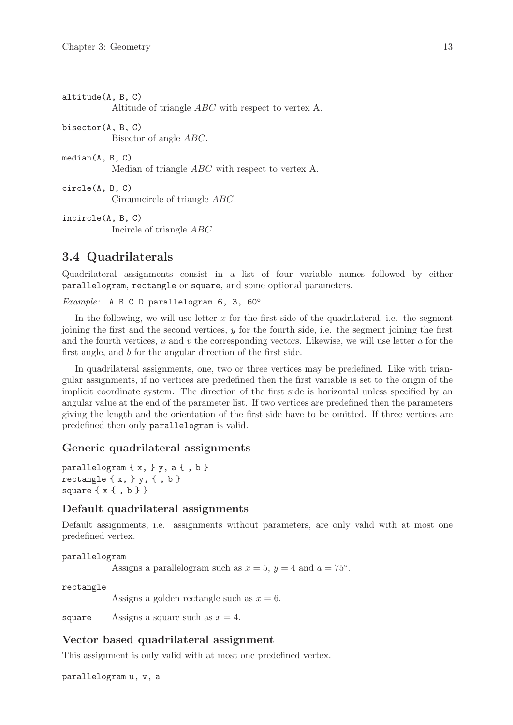<span id="page-16-0"></span>altitude(A, B, C) Altitude of triangle ABC with respect to vertex A. bisector(A, B, C) Bisector of angle ABC. median(A, B, C) Median of triangle ABC with respect to vertex A. circle(A, B, C) Circumcircle of triangle ABC. incircle(A, B, C) Incircle of triangle ABC.

## 3.4 Quadrilaterals

Quadrilateral assignments consist in a list of four variable names followed by either parallelogram, rectangle or square, and some optional parameters.

#### Example: A B C D parallelogram  $6, 3, 60^\circ$

In the following, we will use letter  $x$  for the first side of the quadrilateral, i.e. the segment joining the first and the second vertices,  $y$  for the fourth side, i.e. the segment joining the first and the fourth vertices,  $u$  and  $v$  the corresponding vectors. Likewise, we will use letter  $a$  for the first angle, and b for the angular direction of the first side.

In quadrilateral assignments, one, two or three vertices may be predefined. Like with triangular assignments, if no vertices are predefined then the first variable is set to the origin of the implicit coordinate system. The direction of the first side is horizontal unless specified by an angular value at the end of the parameter list. If two vertices are predefined then the parameters giving the length and the orientation of the first side have to be omitted. If three vertices are predefined then only parallelogram is valid.

### Generic quadrilateral assignments

```
parallelogram \{ x, \} y, a \{ , b \}rectangle \{x, \} y, \{, b \}square \{x\}, b\}
```
### Default quadrilateral assignments

Default assignments, i.e. assignments without parameters, are only valid with at most one predefined vertex.

```
parallelogram
```
Assigns a parallelogram such as  $x = 5$ ,  $y = 4$  and  $a = 75^\circ$ .

rectangle

Assigns a golden rectangle such as  $x = 6$ .

square Assigns a square such as  $x = 4$ .

### Vector based quadrilateral assignment

This assignment is only valid with at most one predefined vertex.

parallelogram u, v, a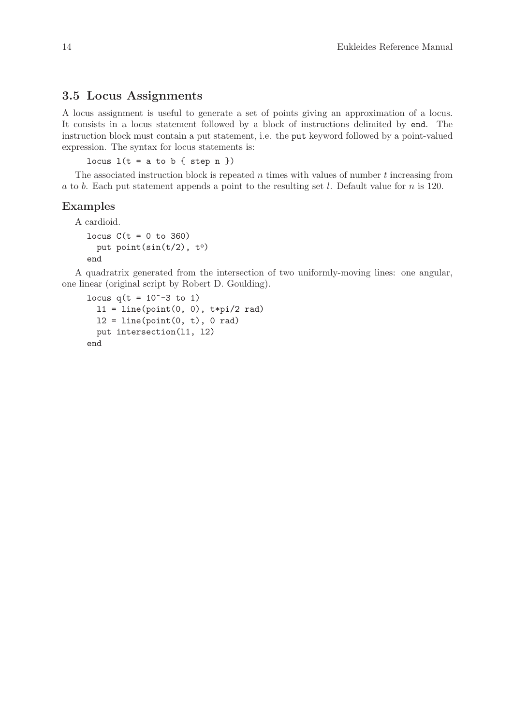### <span id="page-17-0"></span>3.5 Locus Assignments

A locus assignment is useful to generate a set of points giving an approximation of a locus. It consists in a locus statement followed by a block of instructions delimited by end. The instruction block must contain a put statement, i.e. the put keyword followed by a point-valued expression. The syntax for locus statements is:

locus  $l(t = a to b \{ step n \})$ 

The associated instruction block is repeated  $n$  times with values of number  $t$  increasing from a to b. Each put statement appends a point to the resulting set l. Default value for n is 120.

#### Examples

A cardioid.

```
locus C(t = 0 to 360)put point(sin(t/2), to)
end
```
A quadratrix generated from the intersection of two uniformly-moving lines: one angular, one linear (original script by Robert D. Goulding).

```
locus q(t = 10^{\circ}-3 to 1)
  11 = line(point(0, 0), t*pi/2 rad)12 = line(point(0, t), 0 rad)put intersection(l1, l2)
end
```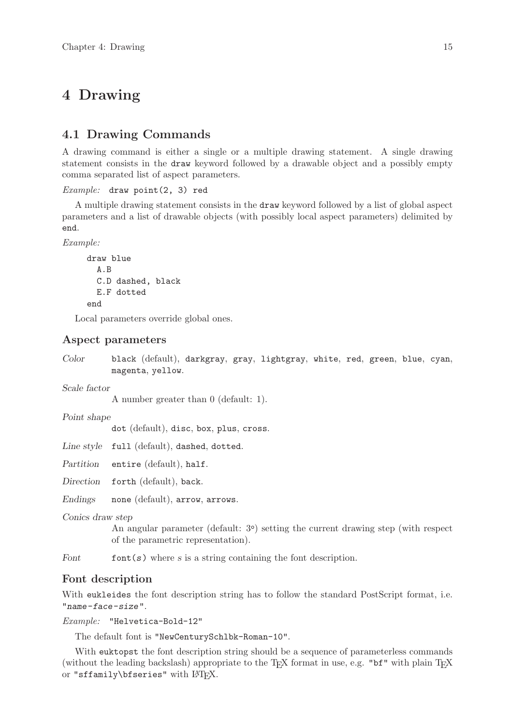## <span id="page-18-0"></span>4 Drawing

## 4.1 Drawing Commands

A drawing command is either a single or a multiple drawing statement. A single drawing statement consists in the draw keyword followed by a drawable object and a possibly empty comma separated list of aspect parameters.

```
Example: draw point(2, 3) red
```
A multiple drawing statement consists in the draw keyword followed by a list of global aspect parameters and a list of drawable objects (with possibly local aspect parameters) delimited by end.

Example:

```
draw blue
  A.B
  C.D dashed, black
  E.F dotted
end
```
Local parameters override global ones.

### Aspect parameters

Color black (default), darkgray, gray, lightgray, white, red, green, blue, cyan, magenta, yellow.

Scale factor

A number greater than 0 (default: 1).

Point shape

dot (default), disc, box, plus, cross.

Line style full (default), dashed, dotted.

Partition entire (default), half.

Direction forth (default), back.

Endings none (default), arrow, arrows.

Conics draw step

An angular parameter (default: 3°) setting the current drawing step (with respect of the parametric representation).

Font font $(s)$  where s is a string containing the font description.

### Font description

With eukleides the font description string has to follow the standard PostScript format, i.e. "name-face-size".

Example: "Helvetica-Bold-12"

The default font is "NewCenturySchlbk-Roman-10".

With euktopst the font description string should be a sequence of parameterless commands (without the leading backslash) appropriate to the TEX format in use, e.g. "bf" with plain TEX or "sffamily\bfseries" with  $LAT$ <sub>F</sub>X.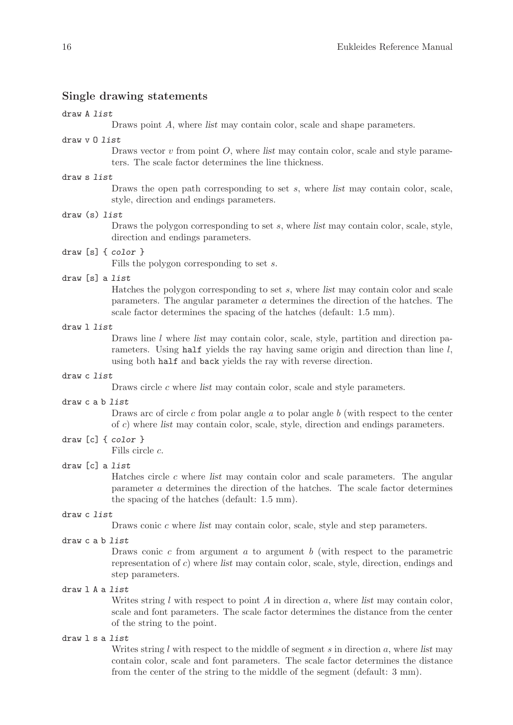#### Single drawing statements

#### draw A list

Draws point A, where list may contain color, scale and shape parameters.

#### draw v O list

Draws vector  $v$  from point  $O$ , where list may contain color, scale and style parameters. The scale factor determines the line thickness.

#### draw s list

Draws the open path corresponding to set  $s$ , where list may contain color, scale, style, direction and endings parameters.

#### draw (s) list

Draws the polygon corresponding to set s, where list may contain color, scale, style, direction and endings parameters.

#### draw [s] { color }

Fills the polygon corresponding to set s.

#### draw [s] a list

Hatches the polygon corresponding to set  $s$ , where list may contain color and scale parameters. The angular parameter a determines the direction of the hatches. The scale factor determines the spacing of the hatches (default: 1.5 mm).

#### draw l list

Draws line  $l$  where list may contain color, scale, style, partition and direction parameters. Using half yields the ray having same origin and direction than line  $l$ , using both half and back yields the ray with reverse direction.

#### draw c list

Draws circle c where list may contain color, scale and style parameters.

#### draw c a b list

Draws arc of circle  $c$  from polar angle  $a$  to polar angle  $b$  (with respect to the center of c) where list may contain color, scale, style, direction and endings parameters.

### draw [c] { color }

Fills circle c.

### draw [c] a list

Hatches circle c where list may contain color and scale parameters. The angular parameter a determines the direction of the hatches. The scale factor determines the spacing of the hatches (default: 1.5 mm).

#### draw c list

Draws conic c where list may contain color, scale, style and step parameters.

#### draw c a b list

Draws conic  $c$  from argument  $a$  to argument  $b$  (with respect to the parametric representation of c) where list may contain color, scale, style, direction, endings and step parameters.

#### draw l A a list

Writes string  $l$  with respect to point  $A$  in direction  $a$ , where list may contain color, scale and font parameters. The scale factor determines the distance from the center of the string to the point.

#### draw l s a list

Writes string  $l$  with respect to the middle of segment  $s$  in direction  $a$ , where list may contain color, scale and font parameters. The scale factor determines the distance from the center of the string to the middle of the segment (default: 3 mm).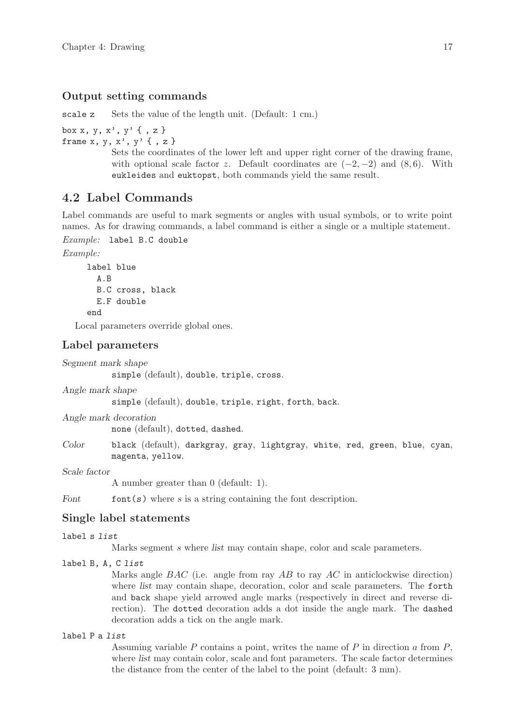#### <span id="page-20-0"></span>Output setting commands

scale z Sets the value of the length unit. (Default: 1 cm.)

box x, y, x', y' { , z } frame  $x, y, x', y'$  {,  $z$  }

Sets the coordinates of the lower left and upper right corner of the drawing frame, with optional scale factor z. Default coordinates are  $(-2, -2)$  and  $(8, 6)$ . With eukleides and euktopst, both commands yield the same result.

## 4.2 Label Commands

Label commands are useful to mark segments or angles with usual symbols, or to write point names. As for drawing commands, a label command is either a single or a multiple statement.

Example: label B.C double

Example:

```
label blue
  A.B
  B.C cross, black
  E.F double
end
```
Local parameters override global ones.

#### Label parameters

```
Segment mark shape
```
simple (default), double, triple, cross.

Angle mark shape

simple (default), double, triple, right, forth, back.

Angle mark decoration

none (default), dotted, dashed.

Color black (default), darkgray, gray, lightgray, white, red, green, blue, cyan, magenta, yellow.

Scale factor

A number greater than 0 (default: 1).

Font font  $(s)$  where s is a string containing the font description.

### Single label statements

#### label s list

Marks segment s where list may contain shape, color and scale parameters.

### label B, A, C list

Marks angle  $BAC$  (i.e. angle from ray AB to ray AC in anticlockwise direction) where *list* may contain shape, decoration, color and scale parameters. The forth and back shape yield arrowed angle marks (respectively in direct and reverse direction). The dotted decoration adds a dot inside the angle mark. The dashed decoration adds a tick on the angle mark.

#### label P a list

Assuming variable  $P$  contains a point, writes the name of  $P$  in direction  $\alpha$  from  $P$ , where list may contain color, scale and font parameters. The scale factor determines the distance from the center of the label to the point (default: 3 mm).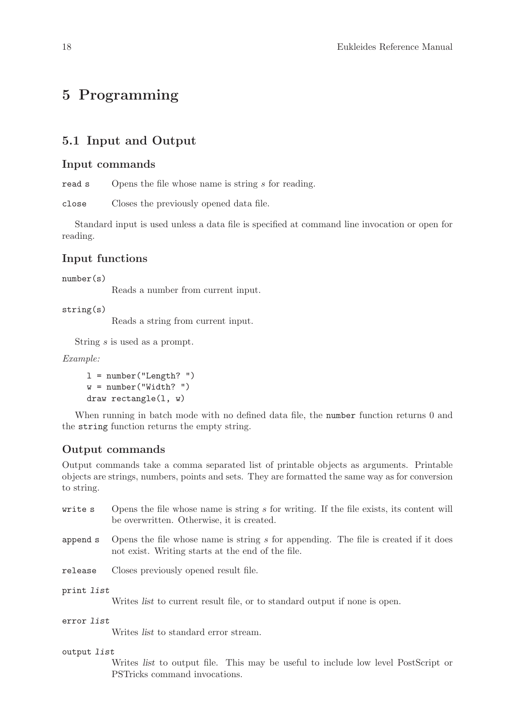## <span id="page-21-0"></span>5 Programming

## 5.1 Input and Output

### Input commands

read s Opens the file whose name is string s for reading.

close Closes the previously opened data file.

Standard input is used unless a data file is specified at command line invocation or open for reading.

### Input functions

number(s)

Reads a number from current input.

```
string(s)
```
Reads a string from current input.

String s is used as a prompt.

Example:

```
l = number('Length?")w = number('Width?'')draw rectangle(l, w)
```
When running in batch mode with no defined data file, the number function returns 0 and the string function returns the empty string.

### Output commands

Output commands take a comma separated list of printable objects as arguments. Printable objects are strings, numbers, points and sets. They are formatted the same way as for conversion to string.

- write  $s$  Opens the file whose name is string s for writing. If the file exists, its content will be overwritten. Otherwise, it is created.
- append s Opens the file whose name is string s for appending. The file is created if it does not exist. Writing starts at the end of the file.

release Closes previously opened result file.

print list

Writes list to current result file, or to standard output if none is open.

error list

Writes list to standard error stream.

#### output list

Writes list to output file. This may be useful to include low level PostScript or PSTricks command invocations.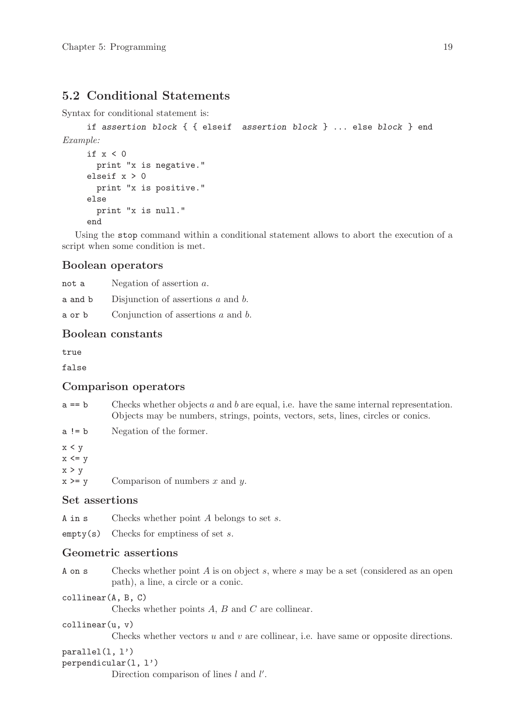## <span id="page-22-0"></span>5.2 Conditional Statements

Syntax for conditional statement is:

```
if assertion block { { elseif assertion block } ... else block } end
Example:
    if x < 0
```

```
print "x is negative."
elseif x > 0
  print "x is positive."
else
  print "x is null."
end
```
Using the stop command within a conditional statement allows to abort the execution of a script when some condition is met.

### Boolean operators

| not a   | Negation of assertion $a$ .             |
|---------|-----------------------------------------|
| a and b | Disjunction of assertions $a$ and $b$ . |
| a or b  | Conjunction of assertions $a$ and $b$ . |

## Boolean constants

true

false

### Comparison operators

- $a == b$  Checks whether objects a and b are equal, i.e. have the same internal representation. Objects may be numbers, strings, points, vectors, sets, lines, circles or conics.
- a != b Negation of the former.
- $x < y$  $x \leq y$  $x > y$

 $x \ge y$  Comparison of numbers x and y.

### Set assertions

A in  $s$  Checks whether point A belongs to set  $s$ .

 $\mathsf{empty}(s)$  Checks for emptiness of set s.

### Geometric assertions

- A on s Checks whether point A is on object s, where s may be a set (considered as an open path), a line, a circle or a conic.
- collinear(A, B, C)

Checks whether points A, B and C are collinear.

#### collinear(u, v)

Checks whether vectors  $u$  and  $v$  are collinear, i.e. have same or opposite directions.

#### parallel(l, l')

#### perpendicular(l, l')

Direction comparison of lines  $l$  and  $l'$ .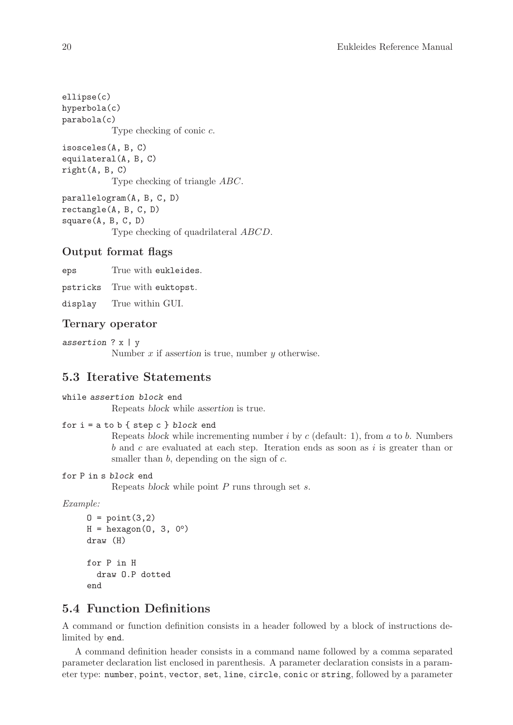<span id="page-23-0"></span>ellipse(c) hyperbola(c) parabola(c) Type checking of conic c. isosceles(A, B, C) equilateral(A, B, C) right(A, B, C) Type checking of triangle ABC. parallelogram(A, B, C, D) rectangle(A, B, C, D) square(A, B, C, D) Type checking of quadrilateral ABCD.

### Output format flags

eps True with eukleides.

pstricks True with euktopst.

display True within GUI.

### Ternary operator

assertion ? x | y

Number  $x$  if assertion is true, number  $y$  otherwise.

## 5.3 Iterative Statements

#### while assertion block end

Repeats block while assertion is true.

```
for i = a to b \{ \text{step } c \} block end
```
Repeats block while incrementing number  $i$  by  $c$  (default: 1), from  $a$  to  $b$ . Numbers  $b$  and  $c$  are evaluated at each step. Iteration ends as soon as  $i$  is greater than or smaller than  $b$ , depending on the sign of  $c$ .

#### for P in s block end

Repeats block while point  $P$  runs through set  $s$ .

Example:

```
0 = point(3,2)H = hexagon(0, 3, 0^{\circ})draw (H)
for P in H
  draw O.P dotted
end
```
## 5.4 Function Definitions

A command or function definition consists in a header followed by a block of instructions delimited by end.

A command definition header consists in a command name followed by a comma separated parameter declaration list enclosed in parenthesis. A parameter declaration consists in a parameter type: number, point, vector, set, line, circle, conic or string, followed by a parameter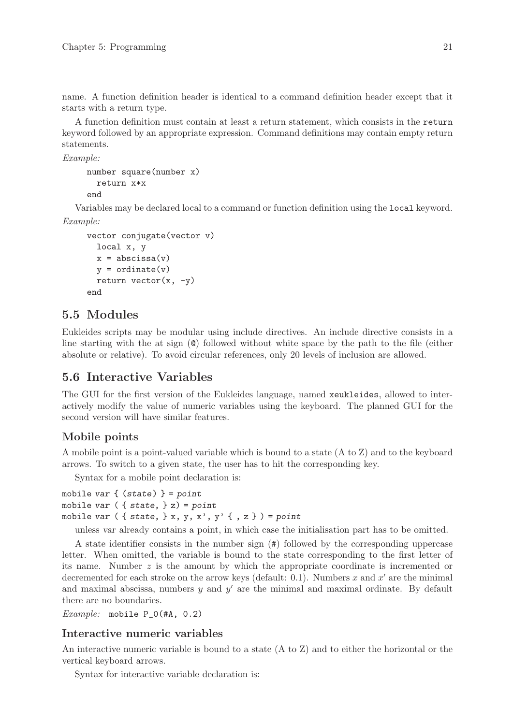<span id="page-24-0"></span>name. A function definition header is identical to a command definition header except that it starts with a return type.

A function definition must contain at least a return statement, which consists in the return keyword followed by an appropriate expression. Command definitions may contain empty return statements.

Example:

```
number square(number x)
  return x*x
```
end

Variables may be declared local to a command or function definition using the local keyword. Example:

```
vector conjugate(vector v)
 local x, y
 x = abscissa(v)y =ordinate(y)return vector(x, -y)end
```
## 5.5 Modules

Eukleides scripts may be modular using include directives. An include directive consists in a line starting with the at sign (@) followed without white space by the path to the file (either absolute or relative). To avoid circular references, only 20 levels of inclusion are allowed.

## 5.6 Interactive Variables

The GUI for the first version of the Eukleides language, named xeukleides, allowed to interactively modify the value of numeric variables using the keyboard. The planned GUI for the second version will have similar features.

### Mobile points

A mobile point is a point-valued variable which is bound to a state (A to Z) and to the keyboard arrows. To switch to a given state, the user has to hit the corresponding key.

Syntax for a mobile point declaration is:

```
mobile var \{ (state) \} = pointmobile var ({ { state, } z) = point
mobile var ( { state, } x,  y,  x',  y' { , z }  ) = point
```
unless var already contains a point, in which case the initialisation part has to be omitted.

A state identifier consists in the number sign (#) followed by the corresponding uppercase letter. When omitted, the variable is bound to the state corresponding to the first letter of its name. Number  $z$  is the amount by which the appropriate coordinate is incremented or decremented for each stroke on the arrow keys (default: 0.1). Numbers x and  $x'$  are the minimal and maximal abscissa, numbers  $y$  and  $y'$  are the minimal and maximal ordinate. By default there are no boundaries.

Example: mobile P\_0(#A, 0.2)

### Interactive numeric variables

An interactive numeric variable is bound to a state (A to Z) and to either the horizontal or the vertical keyboard arrows.

Syntax for interactive variable declaration is: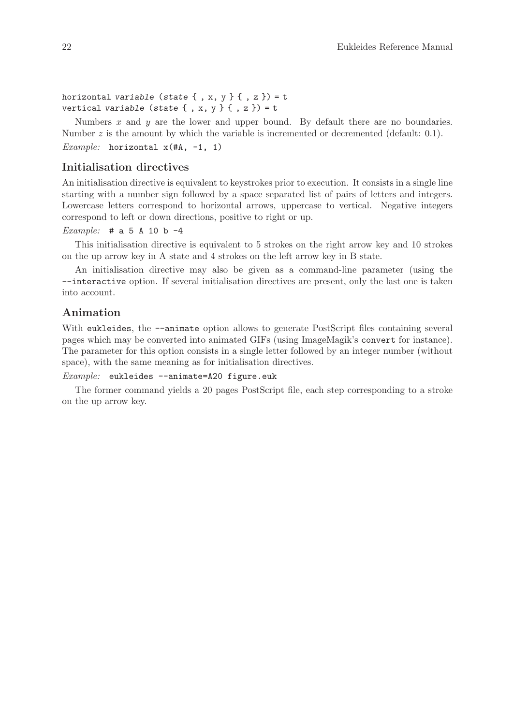horizontal variable (state  $\{ , x, y \}$   $\{ , z \}$ ) = t vertical variable (state  $\{ , x, y \}$   $\{ , z \}$ ) = t

Numbers  $x$  and  $y$  are the lower and upper bound. By default there are no boundaries. Number  $z$  is the amount by which the variable is incremented or decremented (default: 0.1).

Example: horizontal  $x$ (#A, -1, 1)

### Initialisation directives

An initialisation directive is equivalent to keystrokes prior to execution. It consists in a single line starting with a number sign followed by a space separated list of pairs of letters and integers. Lowercase letters correspond to horizontal arrows, uppercase to vertical. Negative integers correspond to left or down directions, positive to right or up.

#### Example:  $# a 5 A 10 b -4$

This initialisation directive is equivalent to 5 strokes on the right arrow key and 10 strokes on the up arrow key in A state and 4 strokes on the left arrow key in B state.

An initialisation directive may also be given as a command-line parameter (using the --interactive option. If several initialisation directives are present, only the last one is taken into account.

### Animation

With eukleides, the  $-$ -animate option allows to generate PostScript files containing several pages which may be converted into animated GIFs (using ImageMagik's convert for instance). The parameter for this option consists in a single letter followed by an integer number (without space), with the same meaning as for initialisation directives.

 $Example:$  eukleides  $--$ animate=A20 figure.euk

The former command yields a 20 pages PostScript file, each step corresponding to a stroke on the up arrow key.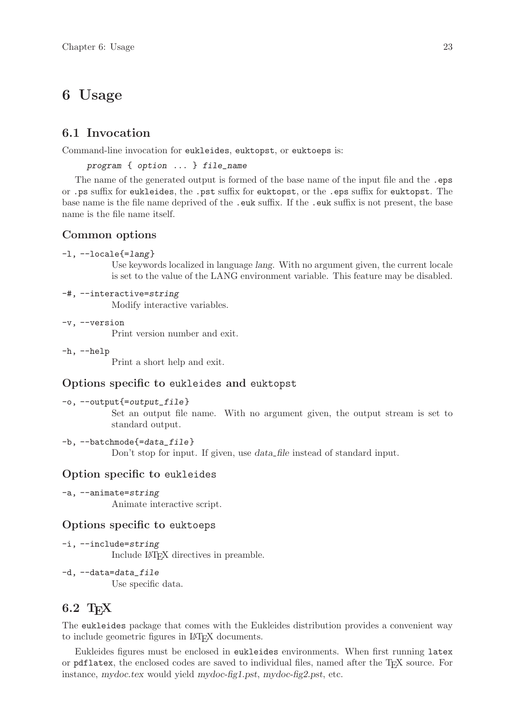## <span id="page-26-0"></span>6 Usage

## 6.1 Invocation

Command-line invocation for eukleides, euktopst, or euktoeps is:

program { option ... } file\_name

The name of the generated output is formed of the base name of the input file and the .eps or .ps suffix for eukleides, the .pst suffix for euktopst, or the .eps suffix for euktopst. The base name is the file name deprived of the .euk suffix. If the .euk suffix is not present, the base name is the file name itself.

### Common options

-l, --locale{=lang}

Use keywords localized in language lang. With no argument given, the current locale is set to the value of the LANG environment variable. This feature may be disabled.

-#, --interactive=string

Modify interactive variables.

-v, --version

Print version number and exit.

-h, --help

Print a short help and exit.

### Options specific to eukleides and euktopst

```
-o, --output{=output_file}
```
Set an output file name. With no argument given, the output stream is set to standard output.

#### -b, --batchmode{=data\_file}

Don't stop for input. If given, use *data\_file* instead of standard input.

### Option specific to eukleides

-a, --animate=string

Animate interactive script.

### Options specific to euktoeps

- -i, --include=string Include LATEX directives in preamble.
- -d, --data=data\_file Use specific data.

## 6.2 T<sub>F</sub>X

The eukleides package that comes with the Eukleides distribution provides a convenient way to include geometric figures in LAT<sub>EX</sub> documents.

Eukleides figures must be enclosed in eukleides environments. When first running latex or pdflatex, the enclosed codes are saved to individual files, named after the TEX source. For instance, mydoc.tex would yield mydoc-fig1.pst, mydoc-fig2.pst, etc.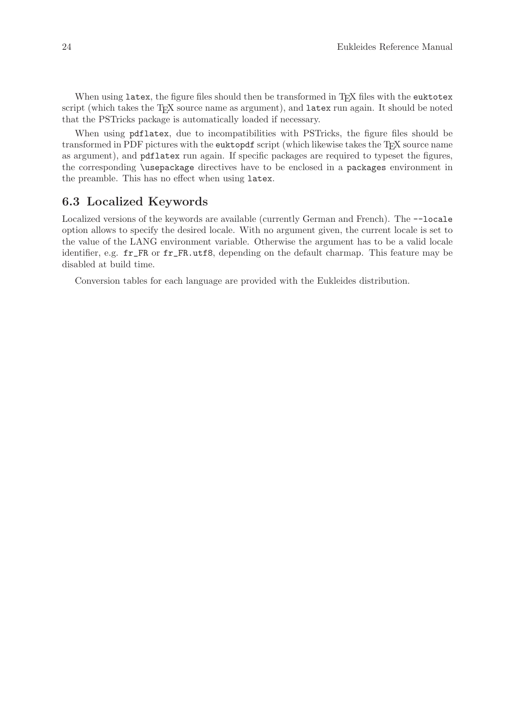<span id="page-27-0"></span>When using latex, the figure files should then be transformed in TEX files with the euktotex script (which takes the TEX source name as argument), and latex run again. It should be noted that the PSTricks package is automatically loaded if necessary.

When using pdflatex, due to incompatibilities with PSTricks, the figure files should be transformed in PDF pictures with the euktopdf script (which likewise takes the T<sub>E</sub>X source name as argument), and pdflatex run again. If specific packages are required to typeset the figures, the corresponding \usepackage directives have to be enclosed in a packages environment in the preamble. This has no effect when using latex.

## 6.3 Localized Keywords

Localized versions of the keywords are available (currently German and French). The --locale option allows to specify the desired locale. With no argument given, the current locale is set to the value of the LANG environment variable. Otherwise the argument has to be a valid locale identifier, e.g. fr\_FR or fr\_FR.utf8, depending on the default charmap. This feature may be disabled at build time.

Conversion tables for each language are provided with the Eukleides distribution.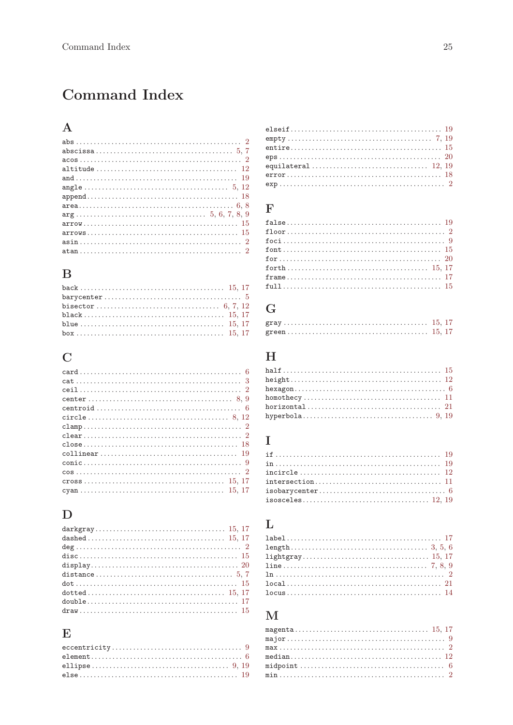# <span id="page-28-0"></span>Command Index

## $\mathbf A$

## $\, {\bf B}$

| $barycenter \ldots \ldots \ldots \ldots \ldots \ldots \ldots \ldots \ldots \ldots \ldots \ldots 5$ |  |
|----------------------------------------------------------------------------------------------------|--|
|                                                                                                    |  |
|                                                                                                    |  |
|                                                                                                    |  |

# $\mathbf C$

| $cat \ldots \ldots \ldots \ldots \ldots \ldots \ldots \ldots \ldots \ldots \ldots \ldots \ldots 3$                     |  |
|------------------------------------------------------------------------------------------------------------------------|--|
|                                                                                                                        |  |
|                                                                                                                        |  |
|                                                                                                                        |  |
|                                                                                                                        |  |
| $\texttt{clamp} \dots \dots \dots \dots \dots \dots \dots \dots \dots \dots \dots \dots \dots \dots \dots \dots \dots$ |  |
|                                                                                                                        |  |
|                                                                                                                        |  |
|                                                                                                                        |  |
|                                                                                                                        |  |
|                                                                                                                        |  |
|                                                                                                                        |  |
|                                                                                                                        |  |
|                                                                                                                        |  |

## $\label{eq:1} \mathbf{D}$

## ${\bf E}$

## $\mathbf{F}$

# $\overline{G}$

# $\overline{\mathrm{H}}$

## $\bar{\mathbf{I}}$

## $\mathbf{L}%$

| $locus \ldots \ldots \ldots \ldots \ldots \ldots \ldots \ldots \ldots \ldots \ldots \ldots \ldots 14$ |  |
|-------------------------------------------------------------------------------------------------------|--|

## $\mathbf{M}$

| $\texttt{max}\dots\dots\dots\dots\dots\dots\dots\dots\dots\dots\dots\dots\dots\dots\ 2$                      |  |
|--------------------------------------------------------------------------------------------------------------|--|
|                                                                                                              |  |
|                                                                                                              |  |
| $\texttt{min} \dots \dots \dots \dots \dots \dots \dots \dots \dots \dots \dots \dots \dots \dots \dots \ 2$ |  |
|                                                                                                              |  |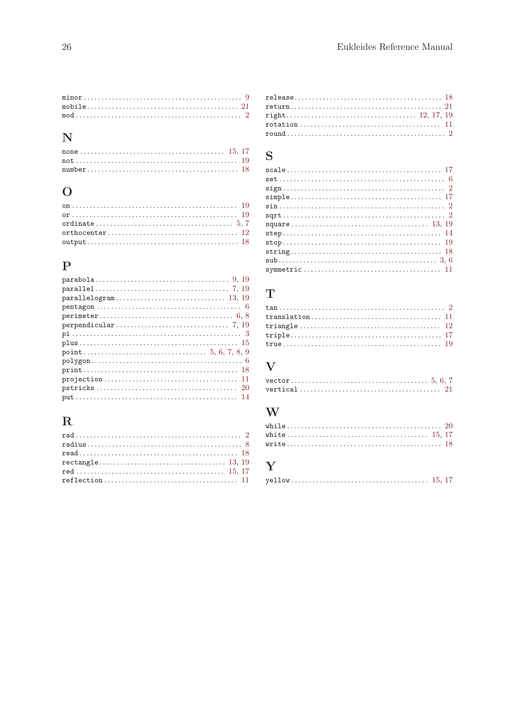## $\overline{\mathbf{N}}$

## $\mathbf{O}$

## ${\bf P}$

## $\mathbf R$

| $reflection \ldots \ldots \ldots \ldots \ldots \ldots \ldots \ldots \ldots \ldots \ldots \ldots \ 11$ |  |  |  |  |  |  |  |  |  |  |  |  |  |  |  |  |  |  |
|-------------------------------------------------------------------------------------------------------|--|--|--|--|--|--|--|--|--|--|--|--|--|--|--|--|--|--|

## $\verb"release" ( \verb"........ \verb"........ \verb"........ \verb"........ \verb"........ \verb"..." \verb"..." \verb"18"$  ${\bf return}\dots{\dots{\dots{\dots{\dots{\dots{\dots{\dots}}}}}}\ \ \, \mathop{21}\limits_{12,~17,~19}$

## S

| $sqrt{2}$ |  |
|-----------|--|
|           |  |
|           |  |
|           |  |
|           |  |
|           |  |
|           |  |
|           |  |

## $\mathbf T$

## $\overline{\mathbf{V}}$

## W

## Y

|--|--|--|--|--|--|--|